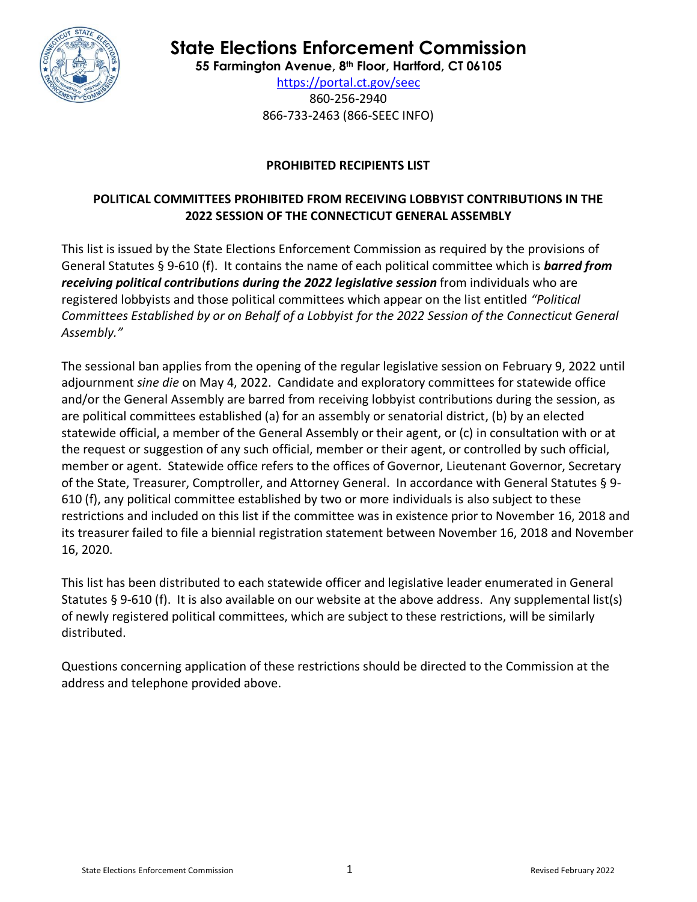

**State Elections Enforcement Commission**

**55 Farmington Avenue, 8 th Floor, Hartford, CT 06105**

<https://portal.ct.gov/seec> 860-256-2940 866-733-2463 (866-SEEC INFO)

# **PROHIBITED RECIPIENTS LIST**

# **POLITICAL COMMITTEES PROHIBITED FROM RECEIVING LOBBYIST CONTRIBUTIONS IN THE 2022 SESSION OF THE CONNECTICUT GENERAL ASSEMBLY**

This list is issued by the State Elections Enforcement Commission as required by the provisions of General Statutes § 9-610 (f). It contains the name of each political committee which is *barred from receiving political contributions during the 2022 legislative session* from individuals who are registered lobbyists and those political committees which appear on the list entitled *"Political Committees Established by or on Behalf of a Lobbyist for the 2022 Session of the Connecticut General Assembly."* 

The sessional ban applies from the opening of the regular legislative session on February 9, 2022 until adjournment *sine die* on May 4, 2022.Candidate and exploratory committees for statewide office and/or the General Assembly are barred from receiving lobbyist contributions during the session, as are political committees established (a) for an assembly or senatorial district, (b) by an elected statewide official, a member of the General Assembly or their agent, or (c) in consultation with or at the request or suggestion of any such official, member or their agent, or controlled by such official, member or agent. Statewide office refers to the offices of Governor, Lieutenant Governor, Secretary of the State, Treasurer, Comptroller, and Attorney General. In accordance with General Statutes § 9- 610 (f), any political committee established by two or more individuals is also subject to these restrictions and included on this list if the committee was in existence prior to November 16, 2018 and its treasurer failed to file a biennial registration statement between November 16, 2018 and November 16, 2020.

This list has been distributed to each statewide officer and legislative leader enumerated in General Statutes § 9-610 (f). It is also available on our website at the above address. Any supplemental list(s) of newly registered political committees, which are subject to these restrictions, will be similarly distributed.

Questions concerning application of these restrictions should be directed to the Commission at the address and telephone provided above.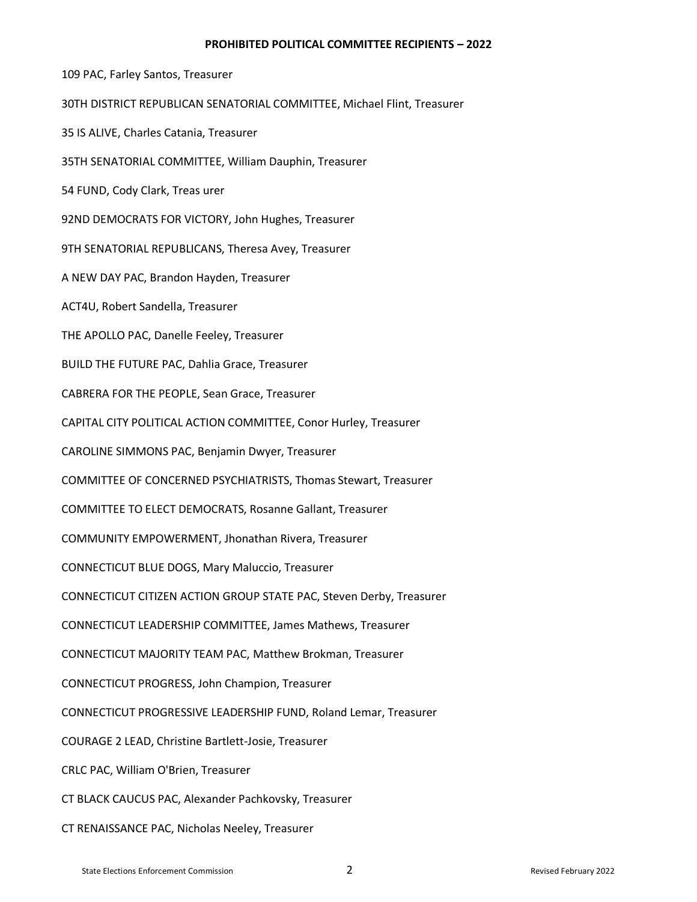#### **PROHIBITED POLITICAL COMMITTEE RECIPIENTS – 2022**

109 PAC, Farley Santos, Treasurer 30TH DISTRICT REPUBLICAN SENATORIAL COMMITTEE, Michael Flint, Treasurer 35 IS ALIVE, Charles Catania, Treasurer 35TH SENATORIAL COMMITTEE, William Dauphin, Treasurer 54 FUND, Cody Clark, Treas urer 92ND DEMOCRATS FOR VICTORY, John Hughes, Treasurer 9TH SENATORIAL REPUBLICANS, Theresa Avey, Treasurer A NEW DAY PAC, Brandon Hayden, Treasurer ACT4U, Robert Sandella, Treasurer THE APOLLO PAC, Danelle Feeley, Treasurer BUILD THE FUTURE PAC, Dahlia Grace, Treasurer CABRERA FOR THE PEOPLE, Sean Grace, Treasurer CAPITAL CITY POLITICAL ACTION COMMITTEE, Conor Hurley, Treasurer CAROLINE SIMMONS PAC, Benjamin Dwyer, Treasurer COMMITTEE OF CONCERNED PSYCHIATRISTS, Thomas Stewart, Treasurer COMMITTEE TO ELECT DEMOCRATS, Rosanne Gallant, Treasurer COMMUNITY EMPOWERMENT, Jhonathan Rivera, Treasurer CONNECTICUT BLUE DOGS, Mary Maluccio, Treasurer CONNECTICUT CITIZEN ACTION GROUP STATE PAC, Steven Derby, Treasurer CONNECTICUT LEADERSHIP COMMITTEE, James Mathews, Treasurer CONNECTICUT MAJORITY TEAM PAC, Matthew Brokman, Treasurer CONNECTICUT PROGRESS, John Champion, Treasurer CONNECTICUT PROGRESSIVE LEADERSHIP FUND, Roland Lemar, Treasurer COURAGE 2 LEAD, Christine Bartlett-Josie, Treasurer CRLC PAC, William O'Brien, Treasurer CT BLACK CAUCUS PAC, Alexander Pachkovsky, Treasurer CT RENAISSANCE PAC, Nicholas Neeley, Treasurer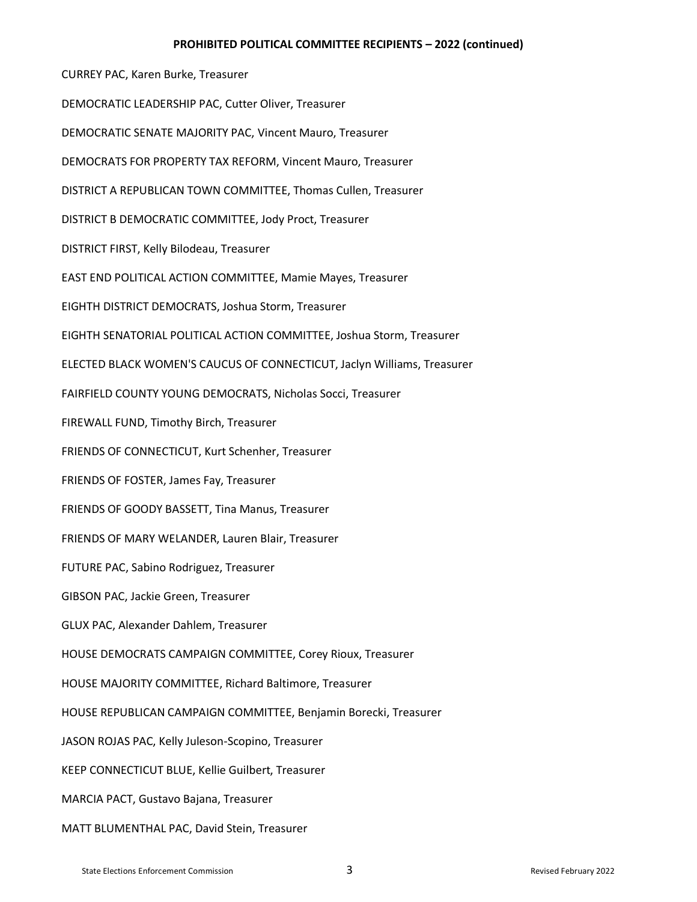#### **PROHIBITED POLITICAL COMMITTEE RECIPIENTS – 2022 (continued)**

CURREY PAC, Karen Burke, Treasurer DEMOCRATIC LEADERSHIP PAC, Cutter Oliver, Treasurer DEMOCRATIC SENATE MAJORITY PAC, Vincent Mauro, Treasurer DEMOCRATS FOR PROPERTY TAX REFORM, Vincent Mauro, Treasurer DISTRICT A REPUBLICAN TOWN COMMITTEE, Thomas Cullen, Treasurer DISTRICT B DEMOCRATIC COMMITTEE, Jody Proct, Treasurer DISTRICT FIRST, Kelly Bilodeau, Treasurer EAST END POLITICAL ACTION COMMITTEE, Mamie Mayes, Treasurer EIGHTH DISTRICT DEMOCRATS, Joshua Storm, Treasurer EIGHTH SENATORIAL POLITICAL ACTION COMMITTEE, Joshua Storm, Treasurer ELECTED BLACK WOMEN'S CAUCUS OF CONNECTICUT, Jaclyn Williams, Treasurer FAIRFIELD COUNTY YOUNG DEMOCRATS, Nicholas Socci, Treasurer FIREWALL FUND, Timothy Birch, Treasurer FRIENDS OF CONNECTICUT, Kurt Schenher, Treasurer FRIENDS OF FOSTER, James Fay, Treasurer FRIENDS OF GOODY BASSETT, Tina Manus, Treasurer FRIENDS OF MARY WELANDER, Lauren Blair, Treasurer FUTURE PAC, Sabino Rodriguez, Treasurer GIBSON PAC, Jackie Green, Treasurer GLUX PAC, Alexander Dahlem, Treasurer HOUSE DEMOCRATS CAMPAIGN COMMITTEE, Corey Rioux, Treasurer HOUSE MAJORITY COMMITTEE, Richard Baltimore, Treasurer HOUSE REPUBLICAN CAMPAIGN COMMITTEE, Benjamin Borecki, Treasurer JASON ROJAS PAC, Kelly Juleson-Scopino, Treasurer KEEP CONNECTICUT BLUE, Kellie Guilbert, Treasurer MARCIA PACT, Gustavo Bajana, Treasurer MATT BLUMENTHAL PAC, David Stein, Treasurer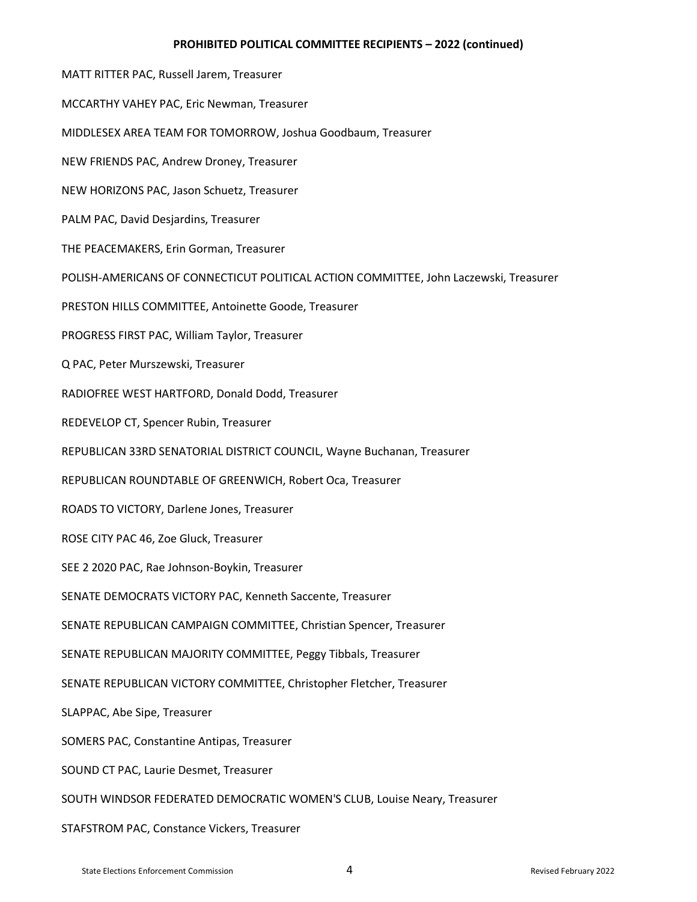## **PROHIBITED POLITICAL COMMITTEE RECIPIENTS – 2022 (continued)**

MATT RITTER PAC, Russell Jarem, Treasurer MCCARTHY VAHEY PAC, Eric Newman, Treasurer MIDDLESEX AREA TEAM FOR TOMORROW, Joshua Goodbaum, Treasurer NEW FRIENDS PAC, Andrew Droney, Treasurer NEW HORIZONS PAC, Jason Schuetz, Treasurer PALM PAC, David Desjardins, Treasurer THE PEACEMAKERS, Erin Gorman, Treasurer POLISH-AMERICANS OF CONNECTICUT POLITICAL ACTION COMMITTEE, John Laczewski, Treasurer PRESTON HILLS COMMITTEE, Antoinette Goode, Treasurer PROGRESS FIRST PAC, William Taylor, Treasurer Q PAC, Peter Murszewski, Treasurer RADIOFREE WEST HARTFORD, Donald Dodd, Treasurer REDEVELOP CT, Spencer Rubin, Treasurer REPUBLICAN 33RD SENATORIAL DISTRICT COUNCIL, Wayne Buchanan, Treasurer REPUBLICAN ROUNDTABLE OF GREENWICH, Robert Oca, Treasurer ROADS TO VICTORY, Darlene Jones, Treasurer ROSE CITY PAC 46, Zoe Gluck, Treasurer SEE 2 2020 PAC, Rae Johnson-Boykin, Treasurer SENATE DEMOCRATS VICTORY PAC, Kenneth Saccente, Treasurer SENATE REPUBLICAN CAMPAIGN COMMITTEE, Christian Spencer, Treasurer SENATE REPUBLICAN MAJORITY COMMITTEE, Peggy Tibbals, Treasurer SENATE REPUBLICAN VICTORY COMMITTEE, Christopher Fletcher, Treasurer SLAPPAC, Abe Sipe, Treasurer SOMERS PAC, Constantine Antipas, Treasurer SOUND CT PAC, Laurie Desmet, Treasurer SOUTH WINDSOR FEDERATED DEMOCRATIC WOMEN'S CLUB, Louise Neary, Treasurer STAFSTROM PAC, Constance Vickers, Treasurer